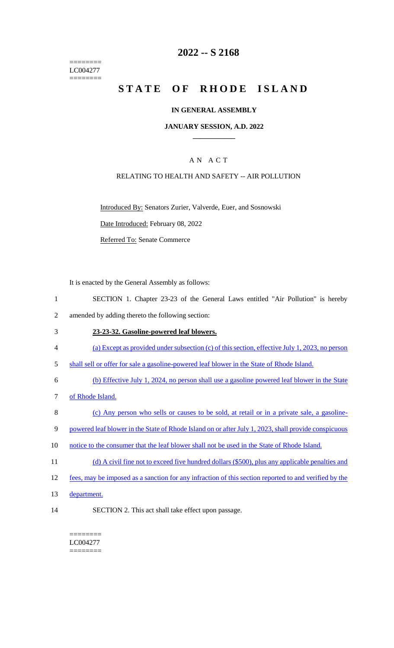======== LC004277 ========

## **2022 -- S 2168**

# **STATE OF RHODE ISLAND**

#### **IN GENERAL ASSEMBLY**

#### **JANUARY SESSION, A.D. 2022 \_\_\_\_\_\_\_\_\_\_\_\_**

## A N A C T

## RELATING TO HEALTH AND SAFETY -- AIR POLLUTION

Introduced By: Senators Zurier, Valverde, Euer, and Sosnowski

Date Introduced: February 08, 2022

Referred To: Senate Commerce

It is enacted by the General Assembly as follows:

- 1 SECTION 1. Chapter 23-23 of the General Laws entitled "Air Pollution" is hereby 2 amended by adding thereto the following section:
- 3 **23-23-32. Gasoline-powered leaf blowers.**
- 4 (a) Except as provided under subsection (c) of this section, effective July 1, 2023, no person
- 5 shall sell or offer for sale a gasoline-powered leaf blower in the State of Rhode Island.
- 6 (b) Effective July 1, 2024, no person shall use a gasoline powered leaf blower in the State
- 7 of Rhode Island.
- 8 (c) Any person who sells or causes to be sold, at retail or in a private sale, a gasoline-
- 9 powered leaf blower in the State of Rhode Island on or after July 1, 2023, shall provide conspicuous
- 10 notice to the consumer that the leaf blower shall not be used in the State of Rhode Island.
- 11 (d) A civil fine not to exceed five hundred dollars (\$500), plus any applicable penalties and
- 12 fees, may be imposed as a sanction for any infraction of this section reported to and verified by the
- 13 department.
- 14 SECTION 2. This act shall take effect upon passage.

LC004277 ========

========